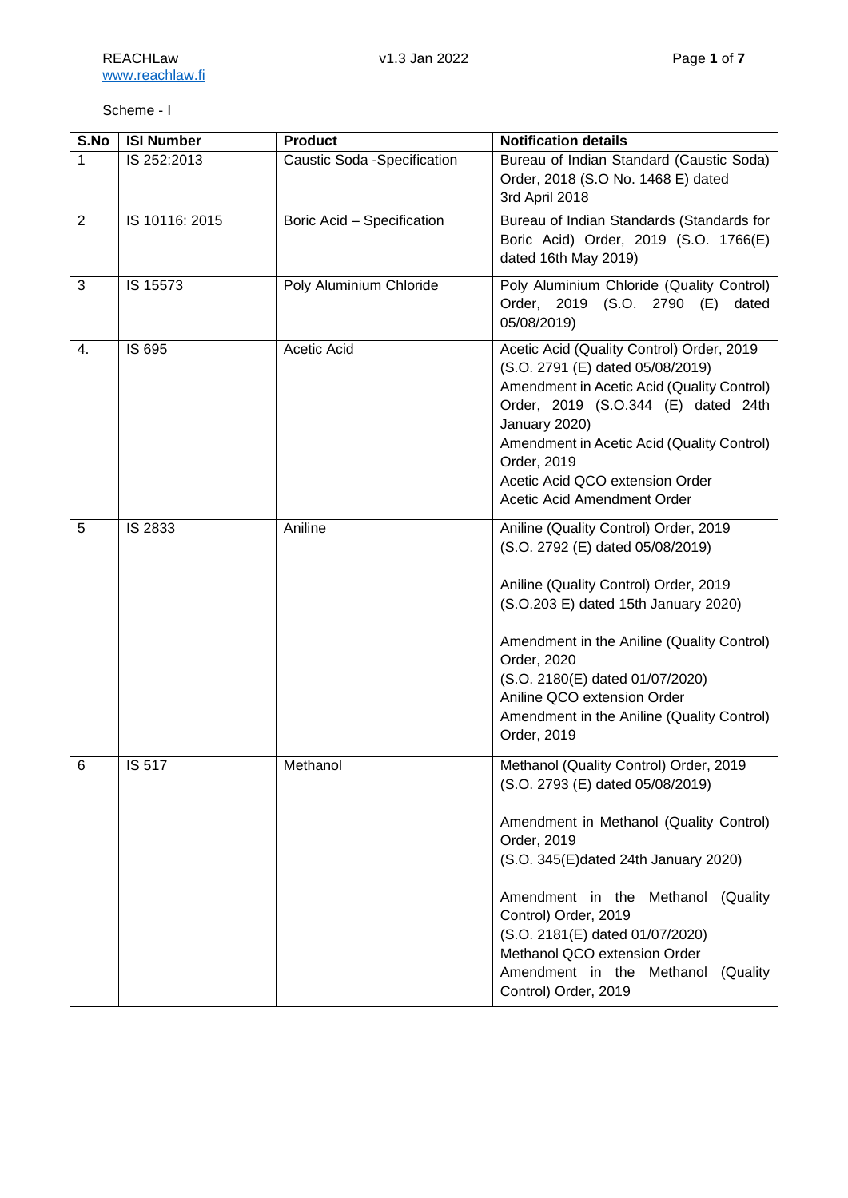## Scheme - I

| S.No           | <b>ISI Number</b> | <b>Product</b>               | <b>Notification details</b>                                                                                                                                                                                                                                                                                                                                                       |
|----------------|-------------------|------------------------------|-----------------------------------------------------------------------------------------------------------------------------------------------------------------------------------------------------------------------------------------------------------------------------------------------------------------------------------------------------------------------------------|
| 1              | IS 252:2013       | Caustic Soda - Specification | Bureau of Indian Standard (Caustic Soda)<br>Order, 2018 (S.O No. 1468 E) dated<br>3rd April 2018                                                                                                                                                                                                                                                                                  |
| $\overline{2}$ | IS 10116: 2015    | Boric Acid - Specification   | Bureau of Indian Standards (Standards for<br>Boric Acid) Order, 2019 (S.O. 1766(E)<br>dated 16th May 2019)                                                                                                                                                                                                                                                                        |
| $\mathbf{3}$   | IS 15573          | Poly Aluminium Chloride      | Poly Aluminium Chloride (Quality Control)<br>Order, 2019 (S.O. 2790 (E)<br>dated<br>05/08/2019)                                                                                                                                                                                                                                                                                   |
| 4.             | IS 695            | Acetic Acid                  | Acetic Acid (Quality Control) Order, 2019<br>(S.O. 2791 (E) dated 05/08/2019)<br>Amendment in Acetic Acid (Quality Control)<br>Order, 2019 (S.O.344 (E) dated 24th<br>January 2020)<br>Amendment in Acetic Acid (Quality Control)<br>Order, 2019<br>Acetic Acid QCO extension Order<br>Acetic Acid Amendment Order                                                                |
| 5              | IS 2833           | Aniline                      | Aniline (Quality Control) Order, 2019<br>(S.O. 2792 (E) dated 05/08/2019)<br>Aniline (Quality Control) Order, 2019<br>(S.O.203 E) dated 15th January 2020)<br>Amendment in the Aniline (Quality Control)<br>Order, 2020<br>(S.O. 2180(E) dated 01/07/2020)<br>Aniline QCO extension Order<br>Amendment in the Aniline (Quality Control)<br>Order, 2019                            |
| 6              | IS 517            | Methanol                     | Methanol (Quality Control) Order, 2019<br>(S.O. 2793 (E) dated 05/08/2019)<br>Amendment in Methanol (Quality Control)<br>Order, 2019<br>(S.O. 345(E)dated 24th January 2020)<br>Amendment in the<br>Methanol (Quality<br>Control) Order, 2019<br>(S.O. 2181(E) dated 01/07/2020)<br>Methanol QCO extension Order<br>Amendment in the Methanol<br>(Quality<br>Control) Order, 2019 |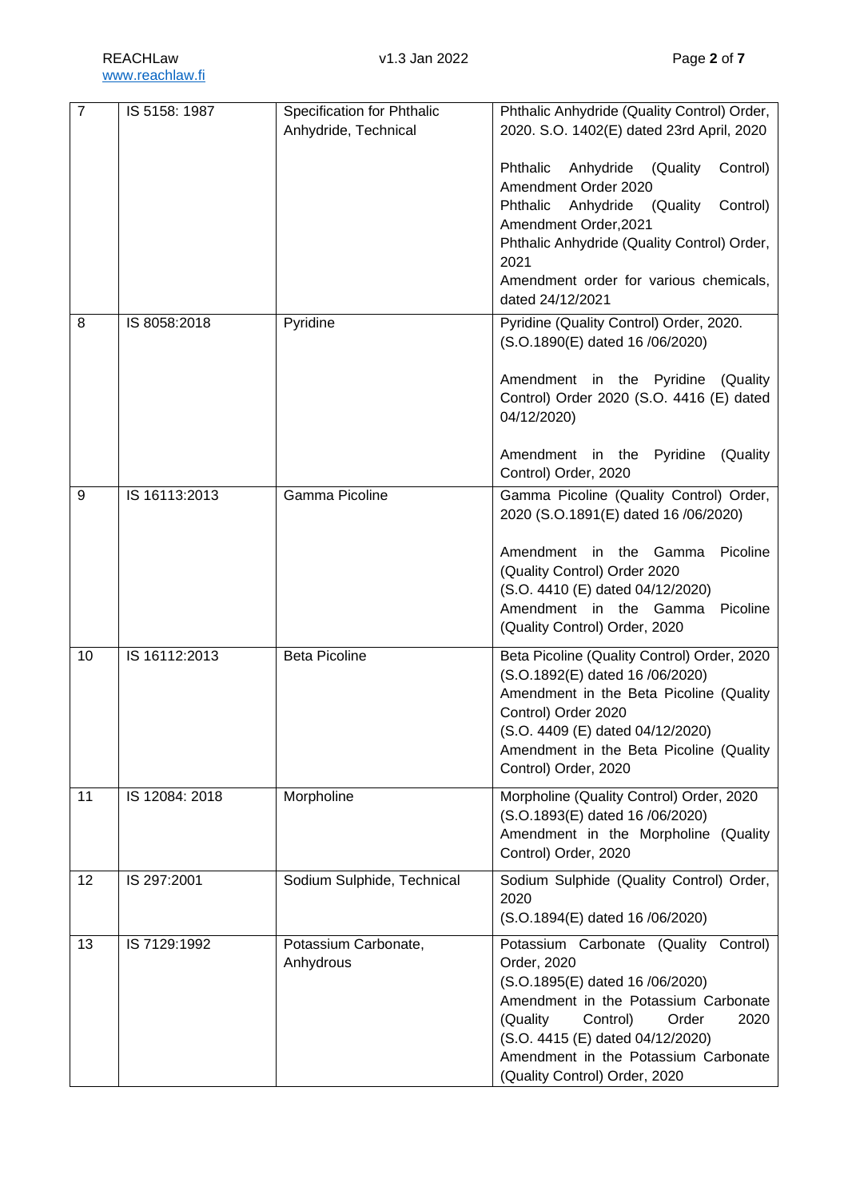| $\overline{7}$ | IS 5158: 1987  | Specification for Phthalic | Phthalic Anhydride (Quality Control) Order,      |
|----------------|----------------|----------------------------|--------------------------------------------------|
|                |                | Anhydride, Technical       | 2020. S.O. 1402(E) dated 23rd April, 2020        |
|                |                |                            |                                                  |
|                |                |                            | Phthalic<br>Anhydride (Quality<br>Control)       |
|                |                |                            | Amendment Order 2020                             |
|                |                |                            | Anhydride<br>Control)<br>Phthalic<br>(Quality    |
|                |                |                            | Amendment Order, 2021                            |
|                |                |                            | Phthalic Anhydride (Quality Control) Order,      |
|                |                |                            | 2021                                             |
|                |                |                            | Amendment order for various chemicals,           |
|                |                |                            | dated 24/12/2021                                 |
| 8              | IS 8058:2018   | Pyridine                   | Pyridine (Quality Control) Order, 2020.          |
|                |                |                            | (S.O.1890(E) dated 16 /06/2020)                  |
|                |                |                            |                                                  |
|                |                |                            | Amendment in the Pyridine (Quality               |
|                |                |                            | Control) Order 2020 (S.O. 4416 (E) dated         |
|                |                |                            | 04/12/2020)                                      |
|                |                |                            |                                                  |
|                |                |                            | Pyridine<br>(Quality)<br>Amendment in the        |
|                |                |                            | Control) Order, 2020                             |
| 9              | IS 16113:2013  | <b>Gamma Picoline</b>      | Gamma Picoline (Quality Control) Order,          |
|                |                |                            | 2020 (S.O.1891(E) dated 16 /06/2020)             |
|                |                |                            |                                                  |
|                |                |                            | Amendment in the Gamma<br>Picoline               |
|                |                |                            | (Quality Control) Order 2020                     |
|                |                |                            | (S.O. 4410 (E) dated 04/12/2020)                 |
|                |                |                            | Amendment in the Gamma<br>Picoline               |
|                |                |                            | (Quality Control) Order, 2020                    |
| 10             | IS 16112:2013  | <b>Beta Picoline</b>       | Beta Picoline (Quality Control) Order, 2020      |
|                |                |                            | (S.O.1892(E) dated 16 /06/2020)                  |
|                |                |                            | Amendment in the Beta Picoline (Quality          |
|                |                |                            | Control) Order 2020                              |
|                |                |                            | (S.O. 4409 (E) dated 04/12/2020)                 |
|                |                |                            | Amendment in the Beta Picoline (Quality          |
|                |                |                            | Control) Order, 2020                             |
| 11             | IS 12084: 2018 | Morpholine                 | Morpholine (Quality Control) Order, 2020         |
|                |                |                            | (S.O.1893(E) dated 16 /06/2020)                  |
|                |                |                            | Amendment in the Morpholine (Quality             |
|                |                |                            | Control) Order, 2020                             |
|                |                |                            |                                                  |
| 12             | IS 297:2001    | Sodium Sulphide, Technical | Sodium Sulphide (Quality Control) Order,<br>2020 |
|                |                |                            |                                                  |
|                |                |                            | (S.O.1894(E) dated 16 /06/2020)                  |
| 13             | IS 7129:1992   | Potassium Carbonate,       | Potassium Carbonate (Quality Control)            |
|                |                | Anhydrous                  | Order, 2020                                      |
|                |                |                            | (S.O.1895(E) dated 16 /06/2020)                  |
|                |                |                            | Amendment in the Potassium Carbonate             |
|                |                |                            | (Quality<br>Control)<br>Order<br>2020            |
|                |                |                            | (S.O. 4415 (E) dated 04/12/2020)                 |
|                |                |                            | Amendment in the Potassium Carbonate             |
|                |                |                            | (Quality Control) Order, 2020                    |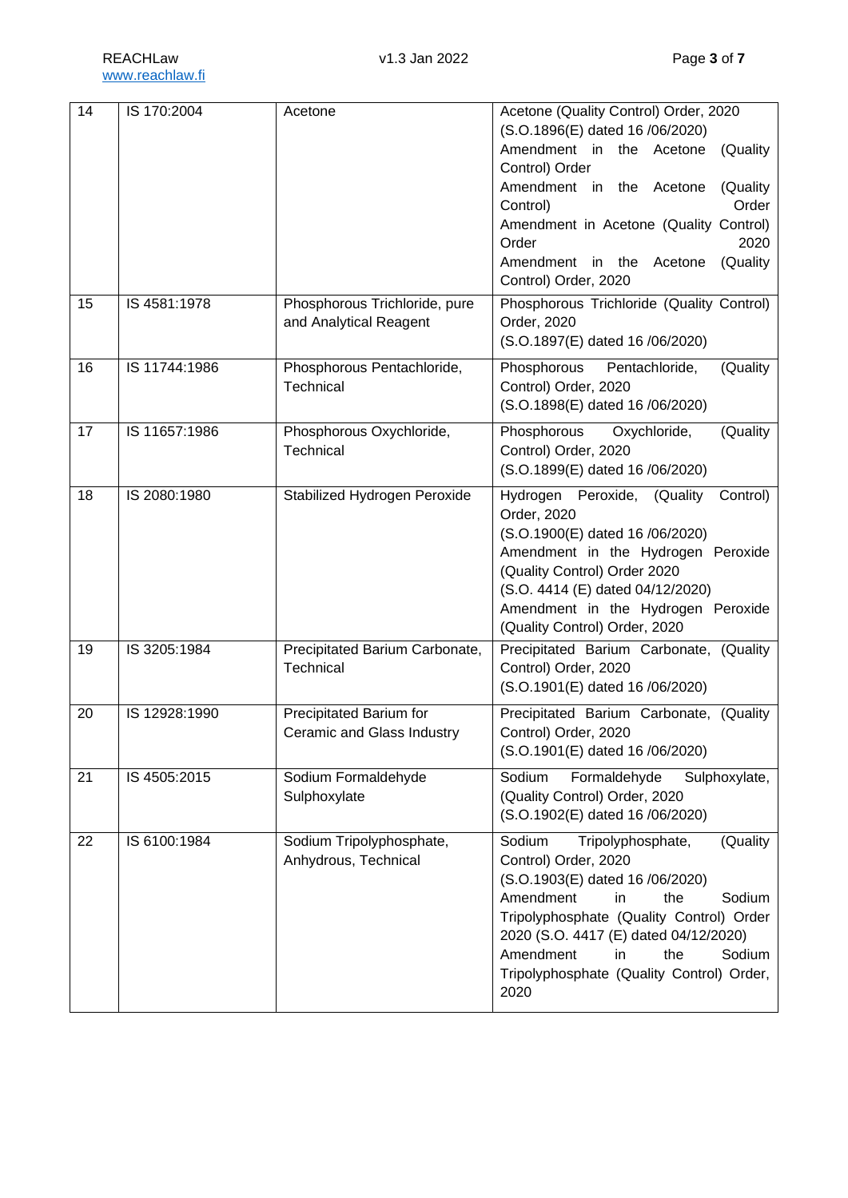| Amendment in the Acetone<br>Control) Order<br>Amendment in the Acetone<br>Control)<br>Amendment in Acetone (Quality Control)<br>Order<br>Amendment in the Acetone<br>Control) Order, 2020<br>15<br>IS 4581:1978<br>Phosphorous Trichloride, pure<br>Phosphorous Trichloride (Quality Control)<br>Order, 2020<br>and Analytical Reagent<br>(S.O.1897(E) dated 16 /06/2020)<br>IS 11744:1986<br>Phosphorous Pentachloride,<br>Pentachloride,<br>16<br>Phosphorous<br>Technical<br>Control) Order, 2020<br>(S.O.1898(E) dated 16 /06/2020)<br>IS 11657:1986<br>17<br>Phosphorous Oxychloride,<br>Phosphorous<br>Oxychloride,<br>Technical<br>Control) Order, 2020<br>(S.O.1899(E) dated 16 /06/2020)<br>IS 2080:1980<br>Stabilized Hydrogen Peroxide<br>18<br>Peroxide,<br>(Quality)<br>Hydrogen<br>Order, 2020<br>(S.O.1900(E) dated 16 /06/2020)<br>Amendment in the Hydrogen Peroxide<br>(Quality Control) Order 2020<br>(S.O. 4414 (E) dated 04/12/2020)<br>Amendment in the Hydrogen Peroxide | Acetone (Quality Control) Order, 2020<br>(S.O.1896(E) dated 16 /06/2020) |
|-------------------------------------------------------------------------------------------------------------------------------------------------------------------------------------------------------------------------------------------------------------------------------------------------------------------------------------------------------------------------------------------------------------------------------------------------------------------------------------------------------------------------------------------------------------------------------------------------------------------------------------------------------------------------------------------------------------------------------------------------------------------------------------------------------------------------------------------------------------------------------------------------------------------------------------------------------------------------------------------------|--------------------------------------------------------------------------|
|                                                                                                                                                                                                                                                                                                                                                                                                                                                                                                                                                                                                                                                                                                                                                                                                                                                                                                                                                                                                 | (Quality                                                                 |
|                                                                                                                                                                                                                                                                                                                                                                                                                                                                                                                                                                                                                                                                                                                                                                                                                                                                                                                                                                                                 | (Quality<br>Order                                                        |
|                                                                                                                                                                                                                                                                                                                                                                                                                                                                                                                                                                                                                                                                                                                                                                                                                                                                                                                                                                                                 |                                                                          |
|                                                                                                                                                                                                                                                                                                                                                                                                                                                                                                                                                                                                                                                                                                                                                                                                                                                                                                                                                                                                 | 2020<br>(Quality                                                         |
|                                                                                                                                                                                                                                                                                                                                                                                                                                                                                                                                                                                                                                                                                                                                                                                                                                                                                                                                                                                                 |                                                                          |
|                                                                                                                                                                                                                                                                                                                                                                                                                                                                                                                                                                                                                                                                                                                                                                                                                                                                                                                                                                                                 |                                                                          |
|                                                                                                                                                                                                                                                                                                                                                                                                                                                                                                                                                                                                                                                                                                                                                                                                                                                                                                                                                                                                 |                                                                          |
|                                                                                                                                                                                                                                                                                                                                                                                                                                                                                                                                                                                                                                                                                                                                                                                                                                                                                                                                                                                                 | (Quality                                                                 |
|                                                                                                                                                                                                                                                                                                                                                                                                                                                                                                                                                                                                                                                                                                                                                                                                                                                                                                                                                                                                 | (Quality                                                                 |
|                                                                                                                                                                                                                                                                                                                                                                                                                                                                                                                                                                                                                                                                                                                                                                                                                                                                                                                                                                                                 |                                                                          |
|                                                                                                                                                                                                                                                                                                                                                                                                                                                                                                                                                                                                                                                                                                                                                                                                                                                                                                                                                                                                 | Control)                                                                 |
|                                                                                                                                                                                                                                                                                                                                                                                                                                                                                                                                                                                                                                                                                                                                                                                                                                                                                                                                                                                                 |                                                                          |
|                                                                                                                                                                                                                                                                                                                                                                                                                                                                                                                                                                                                                                                                                                                                                                                                                                                                                                                                                                                                 |                                                                          |
|                                                                                                                                                                                                                                                                                                                                                                                                                                                                                                                                                                                                                                                                                                                                                                                                                                                                                                                                                                                                 |                                                                          |
| (Quality Control) Order, 2020                                                                                                                                                                                                                                                                                                                                                                                                                                                                                                                                                                                                                                                                                                                                                                                                                                                                                                                                                                   |                                                                          |
| IS 3205:1984<br>Precipitated Barium Carbonate,<br>Precipitated Barium Carbonate, (Quality<br>19<br>Technical<br>Control) Order, 2020                                                                                                                                                                                                                                                                                                                                                                                                                                                                                                                                                                                                                                                                                                                                                                                                                                                            |                                                                          |
| (S.O.1901(E) dated 16 /06/2020)                                                                                                                                                                                                                                                                                                                                                                                                                                                                                                                                                                                                                                                                                                                                                                                                                                                                                                                                                                 |                                                                          |
| IS 12928:1990<br>Precipitated Barium for<br>Precipitated Barium Carbonate, (Quality<br>20                                                                                                                                                                                                                                                                                                                                                                                                                                                                                                                                                                                                                                                                                                                                                                                                                                                                                                       |                                                                          |
| Ceramic and Glass Industry<br>Control) Order, 2020<br>(S.O.1901(E) dated 16 /06/2020)                                                                                                                                                                                                                                                                                                                                                                                                                                                                                                                                                                                                                                                                                                                                                                                                                                                                                                           |                                                                          |
| Sodium Formaldehyde<br>Sodium<br>Formaldehyde<br>21<br>IS 4505:2015<br>(Quality Control) Order, 2020                                                                                                                                                                                                                                                                                                                                                                                                                                                                                                                                                                                                                                                                                                                                                                                                                                                                                            | Sulphoxylate,                                                            |
| Sulphoxylate<br>(S.O.1902(E) dated 16 /06/2020)                                                                                                                                                                                                                                                                                                                                                                                                                                                                                                                                                                                                                                                                                                                                                                                                                                                                                                                                                 |                                                                          |
| 22<br>IS 6100:1984<br>Sodium Tripolyphosphate,<br>Sodium<br>Tripolyphosphate,                                                                                                                                                                                                                                                                                                                                                                                                                                                                                                                                                                                                                                                                                                                                                                                                                                                                                                                   | (Quality                                                                 |
| Anhydrous, Technical<br>Control) Order, 2020<br>(S.O.1903(E) dated 16 /06/2020)                                                                                                                                                                                                                                                                                                                                                                                                                                                                                                                                                                                                                                                                                                                                                                                                                                                                                                                 |                                                                          |
| Amendment<br>the<br>in                                                                                                                                                                                                                                                                                                                                                                                                                                                                                                                                                                                                                                                                                                                                                                                                                                                                                                                                                                          | Sodium                                                                   |
| Tripolyphosphate (Quality Control) Order<br>2020 (S.O. 4417 (E) dated 04/12/2020)                                                                                                                                                                                                                                                                                                                                                                                                                                                                                                                                                                                                                                                                                                                                                                                                                                                                                                               |                                                                          |
| Amendment<br>the<br>in                                                                                                                                                                                                                                                                                                                                                                                                                                                                                                                                                                                                                                                                                                                                                                                                                                                                                                                                                                          | Sodium                                                                   |
| Tripolyphosphate (Quality Control) Order,<br>2020                                                                                                                                                                                                                                                                                                                                                                                                                                                                                                                                                                                                                                                                                                                                                                                                                                                                                                                                               |                                                                          |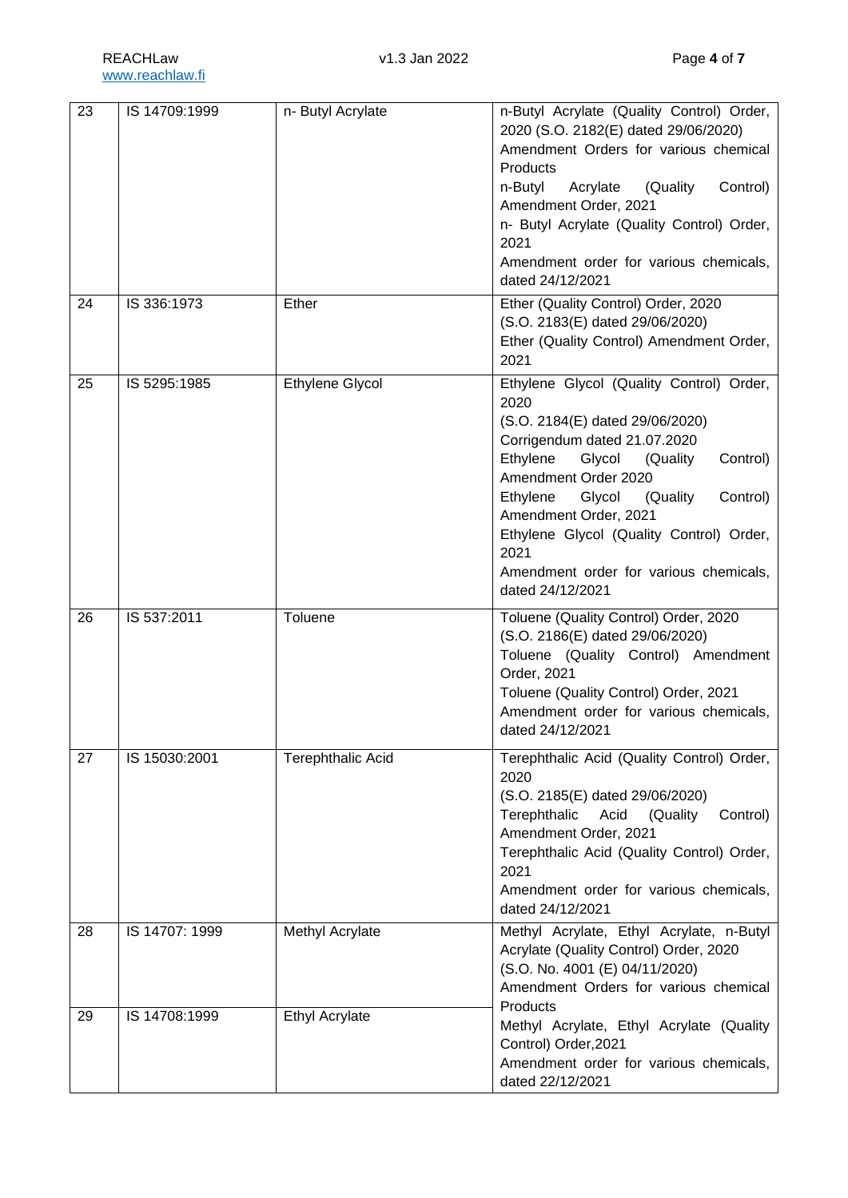| 23 | IS 14709:1999  | n- Butyl Acrylate        | n-Butyl Acrylate (Quality Control) Order,<br>2020 (S.O. 2182(E) dated 29/06/2020)<br>Amendment Orders for various chemical<br>Products<br>Control)<br>n-Butyl<br>Acrylate<br>(Quality)<br>Amendment Order, 2021<br>n- Butyl Acrylate (Quality Control) Order,<br>2021<br>Amendment order for various chemicals,<br>dated 24/12/2021                                                 |
|----|----------------|--------------------------|-------------------------------------------------------------------------------------------------------------------------------------------------------------------------------------------------------------------------------------------------------------------------------------------------------------------------------------------------------------------------------------|
| 24 | IS 336:1973    | Ether                    | Ether (Quality Control) Order, 2020<br>(S.O. 2183(E) dated 29/06/2020)<br>Ether (Quality Control) Amendment Order,<br>2021                                                                                                                                                                                                                                                          |
| 25 | IS 5295:1985   | <b>Ethylene Glycol</b>   | Ethylene Glycol (Quality Control) Order,<br>2020<br>(S.O. 2184(E) dated 29/06/2020)<br>Corrigendum dated 21.07.2020<br>Ethylene<br>Glycol<br>(Quality<br>Control)<br>Amendment Order 2020<br>Glycol<br>Ethylene<br>(Quality)<br>Control)<br>Amendment Order, 2021<br>Ethylene Glycol (Quality Control) Order,<br>2021<br>Amendment order for various chemicals,<br>dated 24/12/2021 |
| 26 | IS 537:2011    | Toluene                  | Toluene (Quality Control) Order, 2020<br>(S.O. 2186(E) dated 29/06/2020)<br>Toluene (Quality Control) Amendment<br>Order, 2021<br>Toluene (Quality Control) Order, 2021<br>Amendment order for various chemicals,<br>dated 24/12/2021                                                                                                                                               |
| 27 | IS 15030:2001  | <b>Terephthalic Acid</b> | Terephthalic Acid (Quality Control) Order,<br>2020<br>(S.O. 2185(E) dated 29/06/2020)<br>Terephthalic<br>Acid<br>(Quality<br>Control)<br>Amendment Order, 2021<br>Terephthalic Acid (Quality Control) Order,<br>2021<br>Amendment order for various chemicals,<br>dated 24/12/2021                                                                                                  |
| 28 | IS 14707: 1999 | Methyl Acrylate          | Methyl Acrylate, Ethyl Acrylate, n-Butyl<br>Acrylate (Quality Control) Order, 2020<br>(S.O. No. 4001 (E) 04/11/2020)<br>Amendment Orders for various chemical<br>Products                                                                                                                                                                                                           |
| 29 | IS 14708:1999  | <b>Ethyl Acrylate</b>    | Methyl Acrylate, Ethyl Acrylate (Quality<br>Control) Order, 2021<br>Amendment order for various chemicals,                                                                                                                                                                                                                                                                          |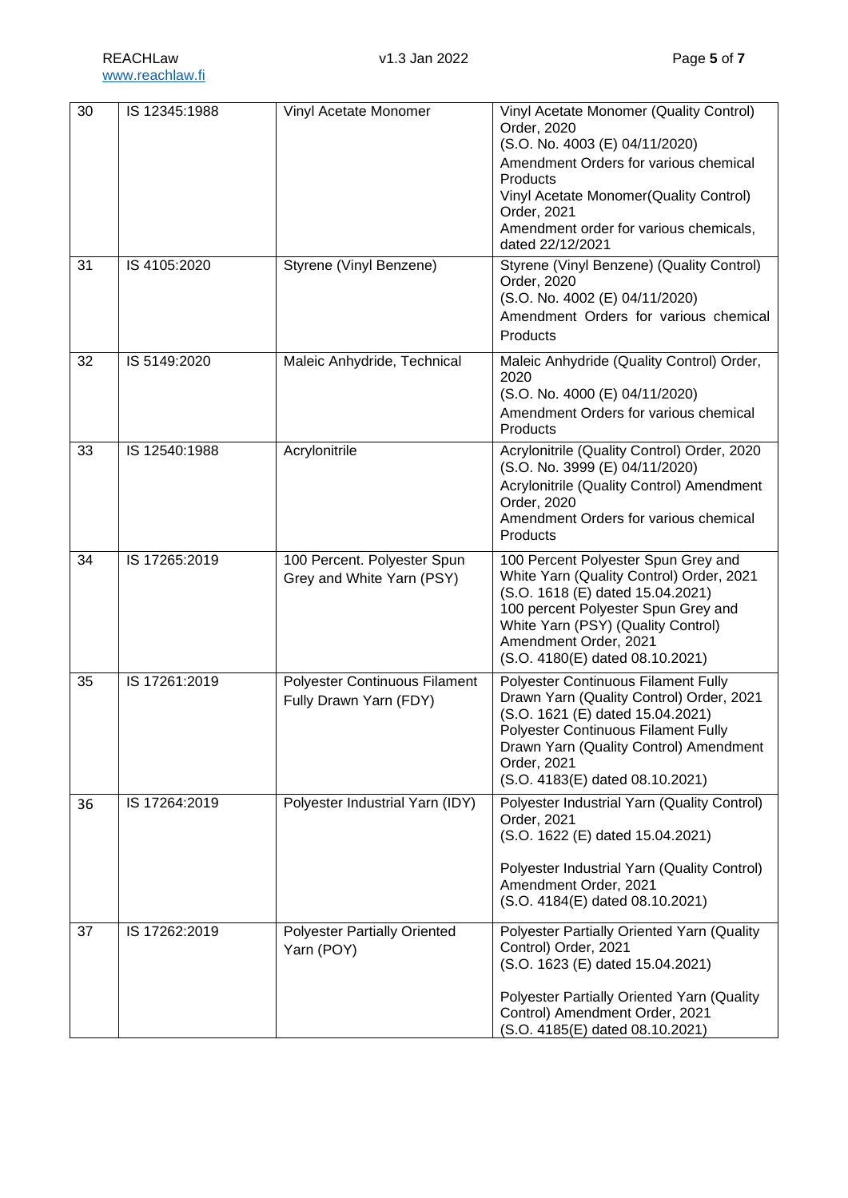| $\overline{30}$ | IS 12345:1988 | Vinyl Acetate Monomer                                          | Vinyl Acetate Monomer (Quality Control)<br>Order, 2020<br>(S.O. No. 4003 (E) 04/11/2020)<br>Amendment Orders for various chemical<br>Products<br>Vinyl Acetate Monomer(Quality Control)<br>Order, 2021<br>Amendment order for various chemicals,<br>dated 22/12/2021 |
|-----------------|---------------|----------------------------------------------------------------|----------------------------------------------------------------------------------------------------------------------------------------------------------------------------------------------------------------------------------------------------------------------|
| 31              | IS 4105:2020  | Styrene (Vinyl Benzene)                                        | Styrene (Vinyl Benzene) (Quality Control)<br>Order, 2020<br>(S.O. No. 4002 (E) 04/11/2020)<br>Amendment Orders for various chemical<br>Products                                                                                                                      |
| 32              | IS 5149:2020  | Maleic Anhydride, Technical                                    | Maleic Anhydride (Quality Control) Order,<br>2020<br>(S.O. No. 4000 (E) 04/11/2020)<br>Amendment Orders for various chemical<br>Products                                                                                                                             |
| 33              | IS 12540:1988 | Acrylonitrile                                                  | Acrylonitrile (Quality Control) Order, 2020<br>(S.O. No. 3999 (E) 04/11/2020)<br>Acrylonitrile (Quality Control) Amendment<br>Order, 2020<br>Amendment Orders for various chemical<br>Products                                                                       |
| 34              | IS 17265:2019 | 100 Percent. Polyester Spun<br>Grey and White Yarn (PSY)       | 100 Percent Polyester Spun Grey and<br>White Yarn (Quality Control) Order, 2021<br>(S.O. 1618 (E) dated 15.04.2021)<br>100 percent Polyester Spun Grey and<br>White Yarn (PSY) (Quality Control)<br>Amendment Order, 2021<br>(S.O. 4180(E) dated 08.10.2021)         |
| 35              | IS 17261:2019 | <b>Polyester Continuous Filament</b><br>Fully Drawn Yarn (FDY) | Polyester Continuous Filament Fully<br>Drawn Yarn (Quality Control) Order, 2021<br>(S.O. 1621 (E) dated 15.04.2021)<br><b>Polyester Continuous Filament Fully</b><br>Drawn Yarn (Quality Control) Amendment<br>Order, 2021<br>(S.O. 4183(E) dated 08.10.2021)        |
| 36              | IS 17264:2019 | Polyester Industrial Yarn (IDY)                                | Polyester Industrial Yarn (Quality Control)<br>Order, 2021<br>(S.O. 1622 (E) dated 15.04.2021)<br>Polyester Industrial Yarn (Quality Control)<br>Amendment Order, 2021<br>(S.O. 4184(E) dated 08.10.2021)                                                            |
| 37              | IS 17262:2019 | <b>Polyester Partially Oriented</b><br>Yarn (POY)              | Polyester Partially Oriented Yarn (Quality<br>Control) Order, 2021<br>(S.O. 1623 (E) dated 15.04.2021)<br>Polyester Partially Oriented Yarn (Quality<br>Control) Amendment Order, 2021<br>(S.O. 4185(E) dated 08.10.2021)                                            |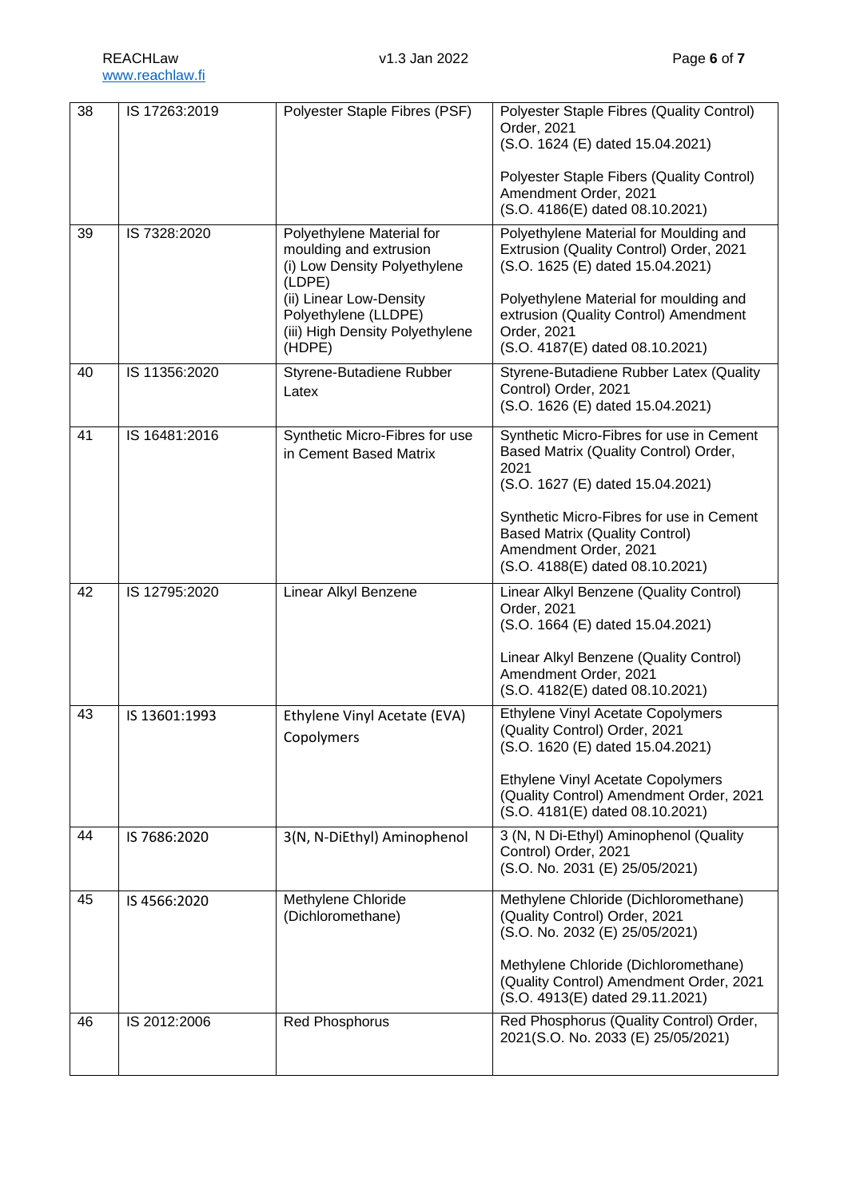| 38 | IS 17263:2019 | Polyester Staple Fibres (PSF)                                                                                                                                                                 | Polyester Staple Fibres (Quality Control)<br>Order, 2021<br>(S.O. 1624 (E) dated 15.04.2021)<br>Polyester Staple Fibers (Quality Control)<br>Amendment Order, 2021<br>(S.O. 4186(E) dated 08.10.2021)                                                                          |
|----|---------------|-----------------------------------------------------------------------------------------------------------------------------------------------------------------------------------------------|--------------------------------------------------------------------------------------------------------------------------------------------------------------------------------------------------------------------------------------------------------------------------------|
| 39 | IS 7328:2020  | Polyethylene Material for<br>moulding and extrusion<br>(i) Low Density Polyethylene<br>(LDPE)<br>(ii) Linear Low-Density<br>Polyethylene (LLDPE)<br>(iii) High Density Polyethylene<br>(HDPE) | Polyethylene Material for Moulding and<br>Extrusion (Quality Control) Order, 2021<br>(S.O. 1625 (E) dated 15.04.2021)<br>Polyethylene Material for moulding and<br>extrusion (Quality Control) Amendment<br>Order, 2021<br>(S.O. 4187(E) dated 08.10.2021)                     |
| 40 | IS 11356:2020 | Styrene-Butadiene Rubber<br>Latex                                                                                                                                                             | Styrene-Butadiene Rubber Latex (Quality<br>Control) Order, 2021<br>(S.O. 1626 (E) dated 15.04.2021)                                                                                                                                                                            |
| 41 | IS 16481:2016 | Synthetic Micro-Fibres for use<br>in Cement Based Matrix                                                                                                                                      | Synthetic Micro-Fibres for use in Cement<br>Based Matrix (Quality Control) Order,<br>2021<br>(S.O. 1627 (E) dated 15.04.2021)<br>Synthetic Micro-Fibres for use in Cement<br><b>Based Matrix (Quality Control)</b><br>Amendment Order, 2021<br>(S.O. 4188(E) dated 08.10.2021) |
| 42 | IS 12795:2020 | Linear Alkyl Benzene                                                                                                                                                                          | Linear Alkyl Benzene (Quality Control)<br>Order, 2021<br>(S.O. 1664 (E) dated 15.04.2021)<br>Linear Alkyl Benzene (Quality Control)<br>Amendment Order, 2021<br>(S.O. 4182(E) dated 08.10.2021)                                                                                |
| 43 | IS 13601:1993 | Ethylene Vinyl Acetate (EVA)<br>Copolymers                                                                                                                                                    | <b>Ethylene Vinyl Acetate Copolymers</b><br>(Quality Control) Order, 2021<br>(S.O. 1620 (E) dated 15.04.2021)<br>Ethylene Vinyl Acetate Copolymers<br>(Quality Control) Amendment Order, 2021<br>(S.O. 4181(E) dated 08.10.2021)                                               |
| 44 | IS 7686:2020  | 3(N, N-DiEthyl) Aminophenol                                                                                                                                                                   | 3 (N, N Di-Ethyl) Aminophenol (Quality<br>Control) Order, 2021<br>(S.O. No. 2031 (E) 25/05/2021)                                                                                                                                                                               |
| 45 | IS 4566:2020  | Methylene Chloride<br>(Dichloromethane)                                                                                                                                                       | Methylene Chloride (Dichloromethane)<br>(Quality Control) Order, 2021<br>(S.O. No. 2032 (E) 25/05/2021)<br>Methylene Chloride (Dichloromethane)<br>(Quality Control) Amendment Order, 2021<br>(S.O. 4913(E) dated 29.11.2021)                                                  |
| 46 | IS 2012:2006  | <b>Red Phosphorus</b>                                                                                                                                                                         | Red Phosphorus (Quality Control) Order,<br>2021(S.O. No. 2033 (E) 25/05/2021)                                                                                                                                                                                                  |